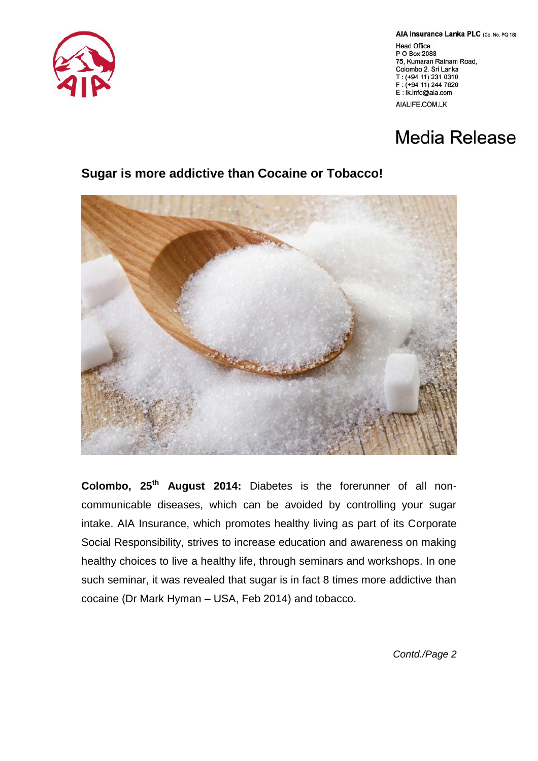AIA Insurance Lanka PLC (Co. No. PQ 18)

**Head Office** P O Box 2088 75, Kumaran Ratnam Road, Colombo 2, Sri Lanka T: (+94 11) 231 0310 F: (+94 11) 244 7620 E: İk.info@aia.com AIALIFE.COM.LK

## **Media Release**

## **Sugar is more addictive than Cocaine or Tobacco!**



**Colombo, 25th August 2014:** Diabetes is the forerunner of all noncommunicable diseases, which can be avoided by controlling your sugar intake. AIA Insurance, which promotes healthy living as part of its Corporate Social Responsibility, strives to increase education and awareness on making healthy choices to live a healthy life, through seminars and workshops. In one such seminar, it was revealed that sugar is in fact 8 times more addictive than cocaine (Dr Mark Hyman – USA, Feb 2014) and tobacco.

*Contd./Page 2*